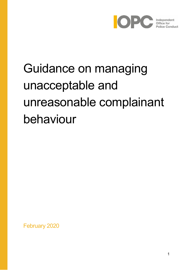

# Guidance on managing unacceptable and unreasonable complainant behaviour

February 2020

1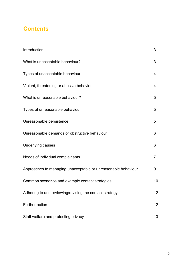## **Contents**

| Introduction                                                  | 3              |
|---------------------------------------------------------------|----------------|
| What is unacceptable behaviour?                               | 3              |
| Types of unacceptable behaviour                               | 4              |
| Violent, threatening or abusive behaviour                     | 4              |
| What is unreasonable behaviour?                               | 5              |
| Types of unreasonable behaviour                               | 5              |
| Unreasonable persistence                                      | 5              |
| Unreasonable demands or obstructive behaviour                 | 6              |
| Underlying causes                                             | 6              |
| Needs of individual complainants                              | $\overline{7}$ |
| Approaches to managing unacceptable or unreasonable behaviour | 9              |
| Common scenarios and example contact strategies               | 10             |
| Adhering to and reviewing/revising the contact strategy       | 12             |
| Further action                                                | 12             |
| Staff welfare and protecting privacy                          | 13             |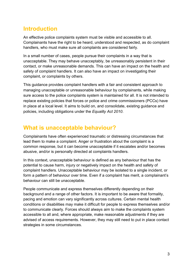## **Introduction**

An effective police complaints system must be visible and accessible to all. Complainants have the right to be heard, understood and respected, as do complaint handlers, who must make sure all complaints are considered fairly.

In a small number of cases, people pursue their complaints in a way that is unacceptable. They may behave unacceptably, be unreasonably persistent in their contact, or make unreasonable demands. This can have an impact on the health and safety of complaint handlers. It can also have an impact on investigating their complaint, or complaints by others.

This guidance provides complaint handlers with a fair and consistent approach to managing unacceptable or unreasonable behaviour by complainants, while making sure access to the police complaints system is maintained for all. It is not intended to replace existing policies that forces or police and crime commissioners (PCCs) have in place at a local level. It aims to build on, and consolidate, existing guidance and policies, including obligations under the *Equality Act 2010*.

## **What is unacceptable behaviour?**

Complainants have often experienced traumatic or distressing circumstances that lead them to make a complaint. Anger or frustration about the complaint is a common response, but it can become unacceptable if it escalates and/or becomes abusive, and/or is personally directed at complaints handlers.

In this context, unacceptable behaviour is defined as any behaviour that has the potential to cause harm, injury or negatively impact on the health and safety of complaint handlers. Unacceptable behaviour may be isolated to a single incident, or form a pattern of behaviour over time. Even if a complaint has merit, a complainant's behaviour can still be unacceptable.

People communicate and express themselves differently depending on their background and a range of other factors. It is important to be aware that formality, pacing and emotion can vary significantly across cultures. Certain mental health conditions or disabilities may make it difficult for people to express themselves and/or to communicate clearly. Forces should always aim to make the complaints system accessible to all and, where appropriate, make reasonable adjustments if they are advised of access requirements. However, they may still need to put in place contact strategies in some circumstances.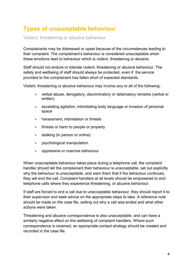# **Types of unacceptable behaviour**

Violent, threatening or abusive behaviour

Complainants may be distressed or upset because of the circumstances leading to their complaint. The complainant's behaviour is considered unacceptable when these emotions lead to behaviour which is violent, threatening or abusive.

Staff should not endure or tolerate violent, threatening or abusive behaviour. The safety and wellbeing of staff should always be protected, even if the service provided to the complainant has fallen short of expected standards.

Violent, threatening or abusive behaviour may involve any or all of the following:

- verbal abuse, derogatory, discriminatory or defamatory remarks (verbal or written)
- escalating agitation, intimidating body language or invasion of personal space
- harassment, intimidation or threats
- threats or harm to people or property
- stalking (in person or online)
- psychological manipulation
- oppressive or coercive behaviour

When unacceptable behaviour takes place during a telephone call, the complaint handler should tell the complainant their behaviour is unacceptable, set out explicitly why the behaviour is unacceptable, and warn them that if the behaviour continues, they will end the call. Complaint handlers at all levels should be empowered to end telephone calls where they experience threatening, or abusive behaviour.

If staff are forced to end a call due to unacceptable behaviour, they should report it to their supervisor and seek advice on the appropriate steps to take. A reference note should be made on the case file, setting out why a call was ended and what other actions were taken.

Threatening and abusive correspondence is also unacceptable, and can have a similarly negative effect on the wellbeing of complaint handlers. Where such correspondence is received, an appropriate contact strategy should be created and recorded in the case file.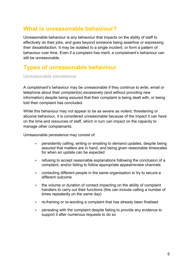## **What is unreasonable behaviour?**

Unreasonable behaviour is any behaviour that impacts on the ability of staff to effectively do their jobs, and goes beyond someone being assertive or expressing their dissatisfaction. It may be isolated to a single incident, or form a pattern of behaviour over time. Even if a complaint has merit, a complainant's behaviour can still be unreasonable.

## **Types of unreasonable behaviour**

Unreasonable persistence

A complainant's behaviour may be unreasonable if they continue to write, email or telephone about their complaint(s) excessively (and without providing new information) despite being assured that their complaint is being dealt with, or being told their complaint has concluded.

While this behaviour may not appear to be as severe as violent, threatening or abusive behaviour, it is considered unreasonable because of the impact it can have on the time and resources of staff, which in turn can impact on the capacity to manage other complainants.

Unreasonable persistence may consist of:

- persistently calling, writing or emailing to demand updates, despite being assured that matters are in hand, and being given reasonable timescales for when an update can be expected
- refusing to accept reasonable explanations following the conclusion of a complaint, and/or failing to follow appropriate appeal/review channels
- contacting different people in the same organisation to try to secure a different outcome
- the volume or duration of contact impacting on the ability of complaint handlers to carry out their functions (this can include calling a number of times repeatedly on the same day)
- re-framing or re-wording a complaint that has already been finalised
- persisting with the complaint despite failing to provide any evidence to support it after numerous requests to do so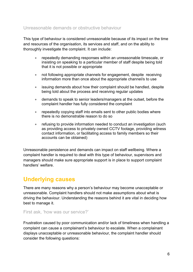#### Unreasonable demands or obstructive behaviour

This type of behaviour is considered unreasonable because of its impact on the time and resources of the organisation, its services and staff, and on the ability to thoroughly investigate the complaint. It can include:

- repeatedly demanding responses within an unreasonable timescale, or insisting on speaking to a particular member of staff despite being told that it is not possible or appropriate
- not following appropriate channels for engagement, despite receiving information more than once about the appropriate channel/s to use
- issuing demands about how their complaint should be handled, despite being told about the process and receiving regular updates
- demands to speak to senior leaders/managers at the outset, before the complaint handler has fully considered the complaint
- repeatedly copying staff into emails sent to other public bodies where there is no demonstrable reason to do so
- refusing to provide information needed to conduct an investigation (such as providing access to privately owned CCTV footage, providing witness contact information, or facilitating access to family members so their accounts can be obtained)

Unreasonable persistence and demands can impact on staff wellbeing. Where a complaint handler is required to deal with this type of behaviour, supervisors and managers should make sure appropriate support is in place to support complaint handlers' welfare.

## **Underlying causes**

There are many reasons why a person's behaviour may become unacceptable or unreasonable. Complaint handlers should not make assumptions about what is driving the behaviour. Understanding the reasons behind it are vital in deciding how best to manage it.

First ask, 'how was our service?'

Frustration caused by poor communication and/or lack of timeliness when handling a complaint can cause a complainant's behaviour to escalate. When a complainant displays unacceptable or unreasonable behaviour, the complaint handler should consider the following questions: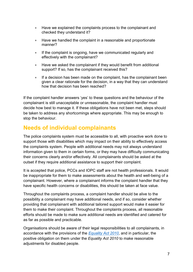- Have we explained the complaints process to the complainant and checked they understand it?
- Have we handled the complaint in a reasonable and proportionate manner?
- If the complaint is ongoing, have we communicated regularly and effectively with the complainant?
- Have we asked the complainant if they would benefit from additional support? If so, has the complainant received this?
- If a decision has been made on the complaint, has the complainant been given a clear rationale for the decision, in a way that they can understand how that decision has been reached?

If the complaint handler answers 'yes' to these questions and the behaviour of the complainant is still unacceptable or unreasonable, the complaint handler must decide how best to manage it. If these obligations have not been met, steps should be taken to address any shortcomings where appropriate. This may be enough to stop the behaviour.

## **Needs of individual complainants**

The police complaints system must be accessible to all, with proactive work done to support those with disabilities which may impact on their ability to effectively access the complaints system. People with additional needs may not always understand information given to them in certain forms, or they may have difficulty communicating their concerns clearly and/or effectively. All complainants should be asked at the outset if they require additional assistance to support their complaint.

It is accepted that police, PCCs and IOPC staff are not health professionals. It would be inappropriate for them to make assessments about the health and well-being of a complainant. However, where a complainant informs the complaint handler that they have specific health concerns or disabilities, this should be taken at face value.

Throughout the complaints process, a complaint handler should be alive to the possibility a complainant may have additional needs, and if so, consider whether providing that complainant with additional tailored support would make it easier for them to make their complaint. Throughout the complaints process, all reasonable efforts should be made to make sure additional needs are identified and catered for as far as possible and practicable.

Organisations should be aware of their legal responsibilities to all complainants, in accordance with the provisions of the *[Equality Act 2010](https://www.legislation.gov.uk/ukpga/2010/15/contents)*, and in particular, the positive obligation on them under the *Equality Act 2010* to make reasonable adjustments for disabled people.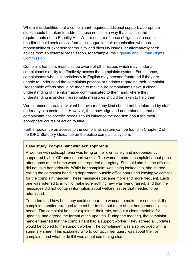Where it is identified that a complainant requires additional support, appropriate steps should be taken to address these needs in a way that satisfies the requirements of the Equality Act. Where unsure of these obligations, a complaint handler should seek advice from a colleague in their organisation who has responsibility or expertise for equality and diversity issues, or alternatively seek advice from an external organisation, for example, the [Equality and Human Rights](https://www.equalityhumanrights.com/en/human-rights/human-rights-act)  [Commission.](https://www.equalityhumanrights.com/en/human-rights/human-rights-act)

Complaint handlers must also be aware of other issues which may hinder a complainant's ability to effectively access the complaints system. For instance, complainants who lack proficiency in English may become frustrated if they are unable to understand the complaints process or updates regarding their complaint. Reasonable efforts should be made to make sure complainants have a clear understanding of the information communicated to them and, where their understanding is unclear, reasonable measures should be taken to help them.

Verbal abuse, threats or violent behaviour of any kind should not be tolerated by staff under any circumstances. However, the knowledge and understanding that a complainant has specific needs should influence the decision about the most appropriate course of action to take.

Further guidance on access to the complaints system can be found in Chapter 2 of the IOPC Statutory Guidance on the police complaints system.

#### **Case study: complainant with schizophrenia**

A woman with schizophrenia was living on her own safely and independently, supported by her GP and support worker. The woman made a complaint about police attendance at her home when she reported a burglary. She said she felt the officers did not take her seriously. While her complaint was being looked into, she started calling the complaint handling department outside office hours and leaving voicemails for the complaint handler. These messages became more and more frequent. Each one was listened to in full to make sure nothing new was being raised, and that the messages did not contain information about welfare issues that needed to be addressed.

To understand how best they could support the woman to make her complaint, the complaint handler arranged to meet her to find out more about her communication needs. The complaint handler explained their role, set out a clear timetable for updates, and agreed the format of the updates. During the meeting, the complaint handler learned that the complainant had a support worker. They agreed all updates would be copied to the support worker. The complainant was also provided with a summary sheet. This explained who to contact if her query was about the live complaint, and what to do if it was about something else.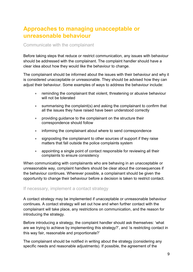## **Approaches to managing unacceptable or unreasonable behaviour**

#### Communicate with the complainant

Before taking steps that reduce or restrict communication, any issues with behaviour should be addressed with the complainant. The complaint handler should have a clear idea about how they would like the behaviour to change.

The complainant should be informed about the issues with their behaviour and why it is considered unacceptable or unreasonable. They should be advised how they can adjust their behaviour. Some examples of ways to address the behaviour include:

- reminding the complainant that violent, threatening or abusive behaviour will not be tolerated
- summarising the complaint(s) and asking the complainant to confirm that all the issues they have raised have been understood correctly
- providing guidance to the complainant on the structure their correspondence should follow
- informing the complainant about where to send correspondence
- signposting the complainant to other sources of support if they raise matters that fall outside the police complaints system
- appointing a single point of contact responsible for reviewing all their complaints to ensure consistency

When communicating with complainants who are behaving in an unacceptable or unreasonable way, complaint handlers should be clear about the consequences if the behaviour continues. Wherever possible, a complainant should be given the opportunity to change their behaviour before a decision is taken to restrict contact.

#### If necessary, implement a contact strategy

A contact strategy may be implemented if unacceptable or unreasonable behaviour continues. A contact strategy will set out how and when further contact with the complainant will take place, any restrictions on communication, and the reason for introducing the strategy.

Before introducing a strategy, the complaint handler should ask themselves: 'what are we trying to achieve by implementing this strategy?', and 'is restricting contact in this way fair, reasonable and proportionate?'

The complainant should be notified in writing about the strategy (considering any specific needs and reasonable adjustments). If possible, the agreement of the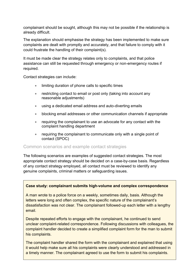complainant should be sought, although this may not be possible if the relationship is already difficult.

The explanation should emphasise the strategy has been implemented to make sure complaints are dealt with promptly and accurately, and that failure to comply with it could frustrate the handling of their complaint(s).

It must be made clear the strategy relates only to complaints, and that police assistance can still be requested through emergency or non-emergency routes if required.

Contact strategies can include:

- limiting duration of phone calls to specific times
- restricting contact to email or post only (taking into account any reasonable adjustments)
- using a dedicated email address and auto-diverting emails
- blocking email addresses or other communication channels if appropriate
- requiring the complainant to use an advocate for any contact with the complaint handling department
- requiring the complainant to communicate only with a single point of contact (SPOC)

#### Common scenarios and example contact strategies

The following scenarios are examples of suggested contact strategies. The most appropriate contact strategy should be decided on a case-by-case basis. Regardless of any contact strategy employed, all contact must be reviewed to identify any genuine complaints, criminal matters or safeguarding issues.

#### **Case study: complainant submits high-volume and complex correspondence**

A man wrote to a police force on a weekly, sometimes daily, basis. Although the letters were long and often complex, the specific nature of the complainant's dissatisfaction was not clear. The complainant followed-up each letter with a lengthy email.

Despite repeated efforts to engage with the complainant, he continued to send unclear complaint-related correspondence. Following discussions with colleagues, the complaint handler decided to create a simplified complaint form for the man to submit his complaints.

a timely manner. The complainant agreed to use the form to submit his complaints. The complaint handler shared the form with the complainant and explained that using it would help make sure all his complaints were clearly understood and addressed in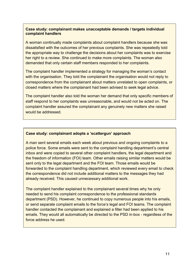#### **Case study: complainant makes unacceptable demands / targets individual complaint handlers**

A woman continually made complaints about complaint handlers because she was dissatisfied with the outcomes of her previous complaints. She was repeatedly told the appropriate way to challenge the decisions about her complaints was to exercise her right to a review. She continued to make more complaints. The woman also demanded that only certain staff members responded to her complaints.

The complaint handler implemented a strategy for managing the woman's contact with the organisation. They told the complainant the organisation would not reply to correspondence from the complainant about matters unrelated to open complaints, or closed matters where the complainant had been advised to seek legal advice.

The complaint handler also told the woman her demand that only specific members of staff respond to her complaints was unreasonable, and would not be acted on. The complaint handler assured the complainant any genuinely new matters she raised would be addressed.

#### **Case study: complainant adopts a 'scattergun' approach**

A man sent several emails each week about previous and ongoing complaints to a police force. Some emails were sent to the complaint handling department's central inbox and were copied to several other complaint handlers, the legal department and the freedom of information (FOI) team. Other emails raising similar matters would be sent only to the legal department and the FOI team. Those emails would be forwarded to the complaint handling department, which reviewed every email to check the correspondence did not include additional matters to the messages they had already received. This caused unnecessary additional work.

The complaint handler explained to the complainant several times why he only needed to send his complaint correspondence to the professional standards department (PSD). However, he continued to copy numerous people into his emails, or send separate complaint emails to the force's legal and FOI teams. The complaint handler contacted the complainant and explained a filter had been applied to his emails. They would all automatically be directed to the PSD in-box - regardless of the force address he used.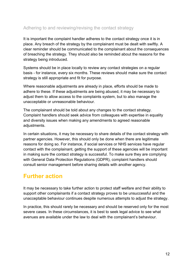#### Adhering to and reviewing/revising the contact strategy

It is important the complaint handler adheres to the contact strategy once it is in place. Any breach of the strategy by the complainant must be dealt with swiftly. A clear reminder should be communicated to the complainant about the consequences of breaching the strategy. They should also be reminded about the reasons for the strategy being introduced.

Systems should be in place locally to review any contact strategies on a regular basis - for instance, every six months. These reviews should make sure the contact strategy is still appropriate and fit for purpose.

Where reasonable adjustments are already in place, efforts should be made to adhere to these. If these adjustments are being abused, it may be necessary to adjust them to allow access to the complaints system, but to also manage the unacceptable or unreasonable behaviour.

The complainant should be told about any changes to the contact strategy. Complaint handlers should seek advice from colleagues with expertise in equality and diversity issues when making any amendments to agreed reasonable adjustments.

In certain situations, it may be necessary to share details of the contact strategy with partner agencies. However, this should only be done when there are legitimate reasons for doing so. For instance, if social services or NHS services have regular contact with the complainant, getting the support of these agencies will be important in making sure the contact strategy is successful. To make sure they are complying with General Data Protection Regulations (GDPR), complaint handlers should consult senior management before sharing details with another agency.

## **Further action**

It may be necessary to take further action to protect staff welfare and their ability to support other complainants if a contact strategy proves to be unsuccessful and the unacceptable behaviour continues despite numerous attempts to adjust the strategy.

In practice, this should rarely be necessary and should be reserved only for the most severe cases. In these circumstances, it is best to seek legal advice to see what avenues are available under the law to deal with the complainant's behaviour.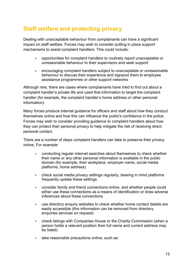## **Staff welfare and protecting privacy**

Dealing with unacceptable behaviour from complainants can have a significant impact on staff welfare. Forces may wish to consider putting in place support mechanisms to assist complaint handlers. This could include:

- opportunities for complaint handlers to routinely report unacceptable or unreasonable behaviour to their supervisors and seek support
- encouraging complaint handlers subject to unacceptable or unreasonable behaviour to discuss their experience and signpost them to employee assistance programmes or other support networks

Although rare, there are cases where complainants have tried to find out about a complaint handler's private life and used that information to target the complaint handler (for example, the complaint handler's home address or other personal information).

Many forces produce internal guidance for officers and staff about how they conduct themselves online and how this can influence the public's confidence in the police. Forces may wish to consider providing guidance to complaint handlers about how they can protect their personal privacy to help mitigate the risk of receiving direct personal contact.

There are a number of steps complaint handlers can take to preserve their privacy online. For example:

- conducting regular internet searches about themselves to check whether their name or any other personal information is available in the public domain (for example, their workplace, employer name, social media platforms, home address)
- check social media privacy settings regularly, bearing in mind platforms frequently update these settings
- consider family and friend connections online, and whether people could either use these connections as a means of identification or draw adverse inferences about these connections
- use directory enquiry websites to check whether home contact details are easily accessible (this information can be removed from directory enquiries services on request)
- check listings with Companies House or the Charity Commission (when a person holds a relevant position their full name and current address may be listed)
- take reasonable precautions online, such as: